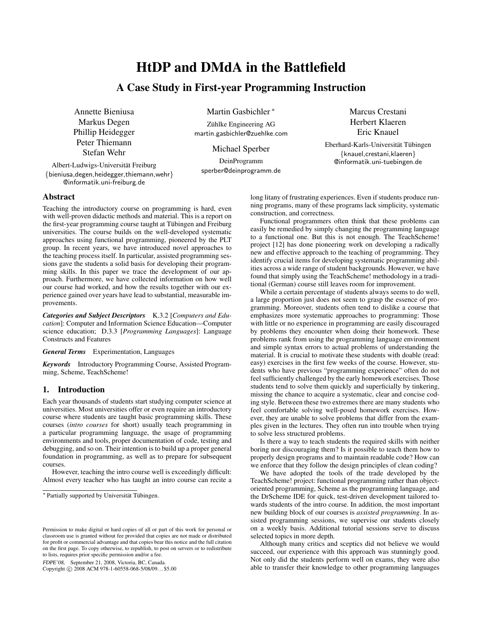# HtDP and DMdA in the Battlefield

# A Case Study in First-year Programming Instruction

Annette Bieniusa Markus Degen Phillip Heidegger Peter Thiemann Stefan Wehr

Albert-Ludwigs-Universitat Freiburg ¨ {bieniusa,degen,heidegger,thiemann,wehr} @informatik.uni-freiburg.de

Martin Gasbichler <sup>∗</sup>

Zühlke Engineering AG martin.gasbichler@zuehlke.com

Michael Sperber

DeinProgramm sperber@deinprogramm.de Marcus Crestani Herbert Klaeren Eric Knauel

Eberhard-Karls-Universität Tübingen {knauel,crestani,klaeren} @informatik.uni-tuebingen.de

# Abstract

Teaching the introductory course on programming is hard, even with well-proven didactic methods and material. This is a report on the first-year programming course taught at Tübingen and Freiburg universities. The course builds on the well-developed systematic approaches using functional programming, pioneered by the PLT group. In recent years, we have introduced novel approaches to the teaching process itself. In particular, assisted programming sessions gave the students a solid basis for developing their programming skills. In this paper we trace the development of our approach. Furthermore, we have collected information on how well our course had worked, and how the results together with our experience gained over years have lead to substantial, measurable improvements.

*Categories and Subject Descriptors* K.3.2 [*Computers and Education*]: Computer and Information Science Education—Computer science education; D.3.3 [*Programming Languages*]: Language Constructs and Features

*General Terms* Experimentation, Languages

*Keywords* Introductory Programming Course, Assisted Programming, Scheme, TeachScheme!

# 1. Introduction

Each year thousands of students start studying computer science at universities. Most universities offer or even require an introductory course where students are taught basic programming skills. These courses (*intro courses* for short) usually teach programming in a particular programming language, the usage of programming environments and tools, proper documentation of code, testing and debugging, and so on. Their intention is to build up a proper general foundation in programming, as well as to prepare for subsequent courses.

However, teaching the intro course well is exceedingly difficult: Almost every teacher who has taught an intro course can recite a

FDPE'08, September 21, 2008, Victoria, BC, Canada.

Copyright © 2008 ACM 978-1-60558-068-5/08/09... \$5.00

long litany of frustrating experiences. Even if students produce running programs, many of these programs lack simplicity, systematic construction, and correctness.

Functional programmers often think that these problems can easily be remedied by simply changing the programming language to a functional one. But this is not enough. The TeachScheme! project [12] has done pioneering work on developing a radically new and effective approach to the teaching of programming. They identify crucial items for developing systematic programming abilities across a wide range of student backgrounds. However, we have found that simply using the TeachScheme! methodology in a traditional (German) course still leaves room for improvement.

While a certain percentage of students always seems to do well, a large proportion just does not seem to grasp the essence of programming. Moreover, students often tend to dislike a course that emphasizes more systematic approaches to programming: Those with little or no experience in programming are easily discouraged by problems they encounter when doing their homework. These problems rank from using the programming language environment and simple syntax errors to actual problems of understanding the material. It is crucial to motivate these students with doable (read: easy) exercises in the first few weeks of the course. However, students who have previous "programming experience" often do not feel sufficiently challenged by the early homework exercises. Those students tend to solve them quickly and superficially by tinkering, missing the chance to acquire a systematic, clear and concise coding style. Between these two extremes there are many students who feel comfortable solving well-posed homework exercises. However, they are unable to solve problems that differ from the examples given in the lectures. They often run into trouble when trying to solve less structured problems.

Is there a way to teach students the required skills with neither boring nor discouraging them? Is it possible to teach them how to properly design programs and to maintain readable code? How can we enforce that they follow the design principles of clean coding?

We have adopted the tools of the trade developed by the TeachScheme! project: functional programming rather than objectoriented programming, Scheme as the programming language, and the DrScheme IDE for quick, test-driven development tailored towards students of the intro course. In addition, the most important new building block of our courses is *assisted programming*. In assisted programming sessions, we supervise our students closely on a weekly basis. Additional tutorial sessions serve to discuss selected topics in more depth.

Although many critics and sceptics did not believe we would succeed, our experience with this approach was stunningly good. Not only did the students perform well on exams, they were also able to transfer their knowledge to other programming languages

<sup>\*</sup> Partially supported by Universität Tübingen.

Permission to make digital or hard copies of all or part of this work for personal or classroom use is granted without fee provided that copies are not made or distributed for profit or commercial advantage and that copies bear this notice and the full citation on the first page. To copy otherwise, to republish, to post on servers or to redistribute to lists, requires prior specific permission and/or a fee.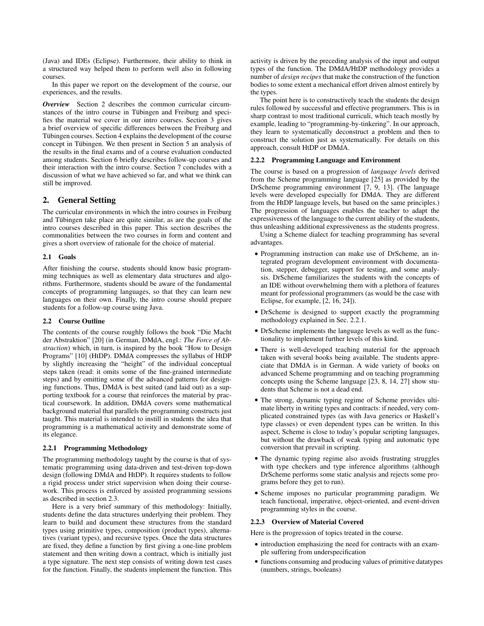(Java) and IDEs (Eclipse). Furthermore, their ability to think in a structured way helped them to perform well also in following courses.

In this paper we report on the development of the course, our experiences, and the results.

*Overview* Section 2 describes the common curricular circumstances of the intro course in Tübingen and Freiburg and specifies the material we cover in our intro courses. Section 3 gives a brief overview of specific differences between the Freiburg and Tübingen courses. Section 4 explains the development of the course concept in Tübingen. We then present in Section 5 an analysis of the results in the final exams and of a course evaluation conducted among students. Section 6 briefly describes follow-up courses and their interaction with the intro course. Section 7 concludes with a discussion of what we have achieved so far, and what we think can still be improved.

# 2. General Setting

The curricular environments in which the intro courses in Freiburg and Tübingen take place are quite similar, as are the goals of the intro courses described in this paper. This section describes the commonalities between the two courses in form and content and gives a short overview of rationale for the choice of material.

# 2.1 Goals

After finishing the course, students should know basic programming techniques as well as elementary data structures and algorithms. Furthermore, students should be aware of the fundamental concepts of programming languages, so that they can learn new languages on their own. Finally, the intro course should prepare students for a follow-up course using Java.

# 2.2 Course Outline

The contents of the course roughly follows the book "Die Macht der Abstraktion" [20] (in German, DMdA, engl.: *The Force of Abstraction*) which, in turn, is inspired by the book "How to Design Programs" [10] (HtDP). DMdA compresses the syllabus of HtDP by slightly increasing the "height" of the individual conceptual steps taken (read: it omits some of the fine-grained intermediate steps) and by omitting some of the advanced patterns for designing functions. Thus, DMdA is best suited (and laid out) as a supporting textbook for a course that reinforces the material by practical coursework. In addition, DMdA covers some mathematical background material that parallels the programming constructs just taught. This material is intended to instill in students the idea that programming is a mathematical activity and demonstrate some of its elegance.

#### 2.2.1 Programming Methodology

The programming methodology taught by the course is that of systematic programming using data-driven and test-driven top-down design (following DMdA and HtDP). It requires students to follow a rigid process under strict supervision when doing their coursework. This process is enforced by assisted programming sessions as described in section 2.3.

Here is a very brief summary of this methodology: Initially, students define the data structures underlying their problem. They learn to build and document these structures from the standard types using primitive types, composition (product types), alternatives (variant types), and recursive types. Once the data structures are fixed, they define a function by first giving a one-line problem statement and then writing down a contract, which is initially just a type signature. The next step consists of writing down test cases for the function. Finally, the students implement the function. This activity is driven by the preceding analysis of the input and output types of the function. The DMdA/HtDP methodology provides a number of *design recipes* that make the construction of the function bodies to some extent a mechanical effort driven almost entirely by the types.

The point here is to constructively teach the students the design rules followed by successful and effective programmers. This is in sharp contrast to most traditional curriculi, which teach mostly by example, leading to "programming-by-tinkering". In our approach, they learn to systematically deconstruct a problem and then to construct the solution just as systematically. For details on this approach, consult HtDP or DMdA.

#### 2.2.2 Programming Language and Environment

The course is based on a progression of *language levels* derived from the Scheme programming language [25] as provided by the DrScheme programming environment [7, 9, 13]. (The language levels were developed especially for DMdA. They are different from the HtDP language levels, but based on the same principles.) The progression of languages enables the teacher to adapt the expressiveness of the language to the current ability of the students, thus unleashing additional expressiveness as the students progress.

Using a Scheme dialect for teaching programming has several advantages.

- Programming instruction can make use of DrScheme, an integrated program development environment with documentation, stepper, debugger, support for testing, and some analysis. DrScheme familiarizes the students with the concepts of an IDE without overwhelming them with a plethora of features meant for professional programmers (as would be the case with Eclipse, for example, [2, 16, 24]).
- DrScheme is designed to support exactly the programming methodology explained in Sec. 2.2.1.
- DrScheme implements the language levels as well as the functionality to implement further levels of this kind.
- There is well-developed teaching material for the approach taken with several books being available. The students appreciate that DMdA is in German. A wide variety of books on advanced Scheme programming and on teaching programming concepts using the Scheme language [23, 8, 14, 27] show students that Scheme is not a dead end.
- The strong, dynamic typing regime of Scheme provides ultimate liberty in writing types and contracts: if needed, very complicated constrained types (as with Java generics or Haskell's type classes) or even dependent types can be written. In this aspect, Scheme is close to today's popular scripting languages, but without the drawback of weak typing and automatic type conversion that prevail in scripting.
- The dynamic typing regime also avoids frustrating struggles with type checkers and type inference algorithms (although DrScheme performs some static analysis and rejects some programs before they get to run).
- Scheme imposes no particular programming paradigm. We teach functional, imperative, object-oriented, and event-driven programming styles in the course.

# 2.2.3 Overview of Material Covered

Here is the progression of topics treated in the course.

- introduction emphasizing the need for contracts with an example suffering from underspecification
- functions consuming and producing values of primitive datatypes (numbers, strings, booleans)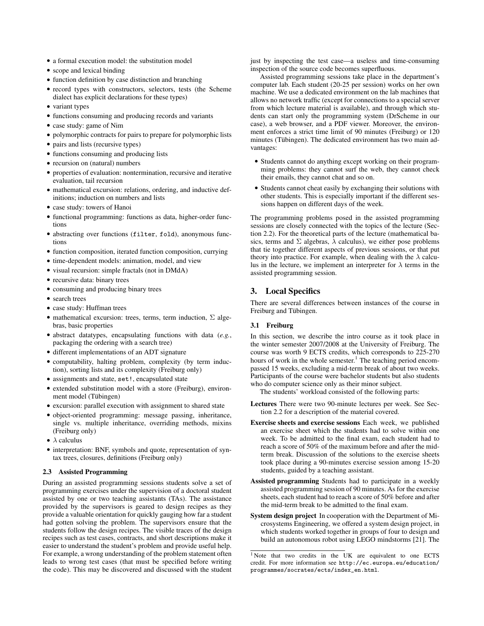- a formal execution model: the substitution model
- scope and lexical binding
- function definition by case distinction and branching
- record types with constructors, selectors, tests (the Scheme dialect has explicit declarations for these types)
- variant types
- functions consuming and producing records and variants
- case study: game of Nim
- polymorphic contracts for pairs to prepare for polymorphic lists
- pairs and lists (recursive types)
- functions consuming and producing lists
- recursion on (natural) numbers
- properties of evaluation: nontermination, recursive and iterative evaluation, tail recursion
- mathematical excursion: relations, ordering, and inductive definitions; induction on numbers and lists
- case study: towers of Hanoi
- functional programming: functions as data, higher-order functions
- abstracting over functions (filter, fold), anonymous functions
- function composition, iterated function composition, currying
- time-dependent models: animation, model, and view
- visual recursion: simple fractals (not in DMdA)
- recursive data: binary trees
- consuming and producing binary trees
- search trees
- case study: Huffman trees
- mathematical excursion: trees, terms, term induction,  $\Sigma$  algebras, basic properties
- abstract datatypes, encapsulating functions with data (*e.g.*, packaging the ordering with a search tree)
- different implementations of an ADT signature
- computability, halting problem, complexity (by term induction), sorting lists and its complexity (Freiburg only)
- assignments and state, set!, encapsulated state
- extended substitution model with a store (Freiburg), environment model (Tübingen)
- excursion: parallel execution with assignment to shared state
- object-oriented programming: message passing, inheritance, single vs. multiple inheritance, overriding methods, mixins (Freiburg only)
- $\lambda$  calculus
- interpretation: BNF, symbols and quote, representation of syntax trees, closures, definitions (Freiburg only)

#### 2.3 Assisted Programming

During an assisted programming sessions students solve a set of programming exercises under the supervision of a doctoral student assisted by one or two teaching assistants (TAs). The assistance provided by the supervisors is geared to design recipes as they provide a valuable orientation for quickly gauging how far a student had gotten solving the problem. The supervisors ensure that the students follow the design recipes. The visible traces of the design recipes such as test cases, contracts, and short descriptions make it easier to understand the student's problem and provide useful help. For example, a wrong understanding of the problem statement often leads to wrong test cases (that must be specified before writing the code). This may be discovered and discussed with the student just by inspecting the test case—a useless and time-consuming inspection of the source code becomes superfluous.

Assisted programming sessions take place in the department's computer lab. Each student (20-25 per session) works on her own machine. We use a dedicated environment on the lab machines that allows no network traffic (except for connections to a special server from which lecture material is available), and through which students can start only the programming system (DrScheme in our case), a web browser, and a PDF viewer. Moreover, the environment enforces a strict time limit of 90 minutes (Freiburg) or 120 minutes (Tübingen). The dedicated environment has two main advantages:

- Students cannot do anything except working on their programming problems: they cannot surf the web, they cannot check their emails, they cannot chat and so on.
- Students cannot cheat easily by exchanging their solutions with other students. This is especially important if the different sessions happen on different days of the week.

The programming problems posed in the assisted programming sessions are closely connected with the topics of the lecture (Section 2.2). For the theoretical parts of the lecture (mathematical basics, terms and  $\Sigma$  algebras,  $\lambda$  calculus), we either pose problems that tie together different aspects of previous sessions, or that put theory into practice. For example, when dealing with the  $\lambda$  calculus in the lecture, we implement an interpreter for  $\lambda$  terms in the assisted programming session.

# 3. Local Specifics

There are several differences between instances of the course in Freiburg and Tübingen.

# 3.1 Freiburg

In this section, we describe the intro course as it took place in the winter semester 2007/2008 at the University of Freiburg. The course was worth 9 ECTS credits, which corresponds to 225-270 hours of work in the whole semester.<sup>1</sup> The teaching period encompassed 15 weeks, excluding a mid-term break of about two weeks. Participants of the course were bachelor students but also students who do computer science only as their minor subject.

The students' workload consisted of the following parts:

- Lectures There were two 90-minute lectures per week. See Section 2.2 for a description of the material covered.
- Exercise sheets and exercise sessions Each week, we published an exercise sheet which the students had to solve within one week. To be admitted to the final exam, each student had to reach a score of 50% of the maximum before and after the midterm break. Discussion of the solutions to the exercise sheets took place during a 90-minutes exercise session among 15-20 students, guided by a teaching assistant.
- Assisted programming Students had to participate in a weekly assisted programming session of 90 minutes. As for the exercise sheets, each student had to reach a score of 50% before and after the mid-term break to be admitted to the final exam.
- System design project In cooperation with the Department of Microsystems Engineering, we offered a system design project, in which students worked together in groups of four to design and build an autonomous robot using LEGO mindstorms [21]. The

<sup>&</sup>lt;sup>1</sup>Note that two credits in the UK are equivalent to one ECTS credit. For more information see http://ec.europa.eu/education/ programmes/socrates/ects/index\_en.html.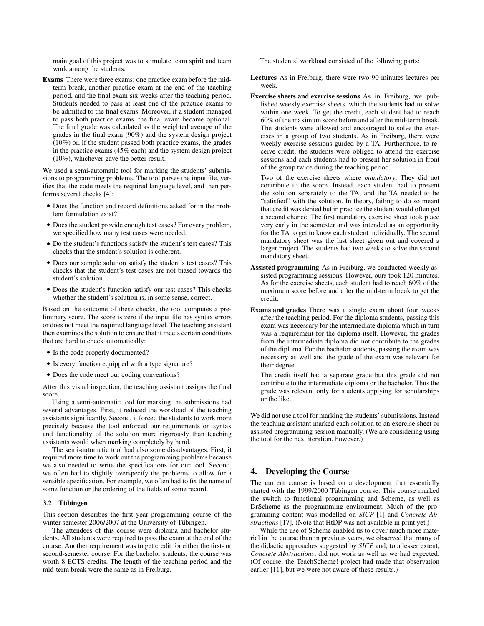main goal of this project was to stimulate team spirit and team work among the students.

Exams There were three exams: one practice exam before the midterm break, another practice exam at the end of the teaching period, and the final exam six weeks after the teaching period. Students needed to pass at least one of the practice exams to be admitted to the final exams. Moreover, if a student managed to pass both practice exams, the final exam became optional. The final grade was calculated as the weighted average of the grades in the final exam (90%) and the system design project (10%) or, if the student passed both practice exams, the grades in the practice exams (45% each) and the system design project (10%), whichever gave the better result.

We used a semi-automatic tool for marking the students' submissions to programming problems. The tool parses the input file, verifies that the code meets the required language level, and then performs several checks [4]:

- Does the function and record definitions asked for in the problem formulation exist?
- Does the student provide enough test cases? For every problem, we specified how many test cases were needed.
- Do the student's functions satisfy the student's test cases? This checks that the student's solution is coherent.
- Does our sample solution satisfy the student's test cases? This checks that the student's test cases are not biased towards the student's solution.
- Does the student's function satisfy our test cases? This checks whether the student's solution is, in some sense, correct.

Based on the outcome of these checks, the tool computes a preliminary score. The score is zero if the input file has syntax errors or does not meet the required language level. The teaching assistant then examines the solution to ensure that it meets certain conditions that are hard to check automatically:

- Is the code properly documented?
- Is every function equipped with a type signature?
- Does the code meet our coding conventions?

After this visual inspection, the teaching assistant assigns the final score.

Using a semi-automatic tool for marking the submissions had several advantages. First, it reduced the workload of the teaching assistants significantly. Second, it forced the students to work more precisely because the tool enforced our requirements on syntax and functionality of the solution more rigorously than teaching assistants would when marking completely by hand.

The semi-automatic tool had also some disadvantages. First, it required more time to work out the programming problems because we also needed to write the specifications for our tool. Second, we often had to slightly overspecify the problems to allow for a sensible specification. For example, we often had to fix the name of some function or the ordering of the fields of some record.

# 3.2 Tübingen

This section describes the first year programming course of the winter semester 2006/2007 at the University of Tübingen.

The attendees of this course were diploma and bachelor students. All students were required to pass the exam at the end of the course. Another requirement was to get credit for either the first- or second-semester course. For the bachelor students, the course was worth 8 ECTS credits. The length of the teaching period and the mid-term break were the same as in Freiburg.

The students' workload consisted of the following parts:

- Lectures As in Freiburg, there were two 90-minutes lectures per week.
- Exercise sheets and exercise sessions As in Freiburg, we published weekly exercise sheets, which the students had to solve within one week. To get the credit, each student had to reach 60% of the maximum score before and after the mid-term break. The students were allowed and encouraged to solve the exercises in a group of two students. As in Freiburg, there were weekly exercise sessions guided by a TA. Furthermore, to receive credit, the students were obliged to attend the exercise sessions and each students had to present her solution in front of the group twice during the teaching period.

Two of the exercise sheets where *mandatory*: They did not contribute to the score. Instead, each student had to present the solution separately to the TA, and the TA needed to be "satisfied" with the solution. In theory, failing to do so meant that credit was denied but in practice the student would often get a second chance. The first mandatory exercise sheet took place very early in the semester and was intended as an opportunity for the TA to get to know each student individually. The second mandatory sheet was the last sheet given out and covered a larger project. The students had two weeks to solve the second mandatory sheet.

- Assisted programming As in Freiburg, we conducted weekly assisted programming sessions. However, ours took 120 minutes. As for the exercise sheets, each student had to reach 60% of the maximum score before and after the mid-term break to get the credit.
- Exams and grades There was a single exam about four weeks after the teaching period. For the diploma students, passing this exam was necessary for the intermediate diploma which in turn was a requirement for the diploma itself. However, the grades from the intermediate diploma did not contribute to the grades of the diploma. For the bachelor students, passing the exam was necessary as well and the grade of the exam was relevant for their degree.

The credit itself had a separate grade but this grade did not contribute to the intermediate diploma or the bachelor. Thus the grade was relevant only for students applying for scholarships or the like.

We did not use a tool for marking the students' submissions. Instead the teaching assistant marked each solution to an exercise sheet or assisted programming session manually. (We are considering using the tool for the next iteration, however.)

# 4. Developing the Course

The current course is based on a development that essentially started with the 1999/2000 Tübingen course: This course marked the switch to functional programming and Scheme, as well as DrScheme as the programming environment. Much of the programming content was modelled on *SICP* [1] and *Concrete Abstractions* [17]. (Note that HtDP was not available in print yet.)

While the use of Scheme enabled us to cover much more material in the course than in previous years, we observed that many of the didactic approaches suggested by *SICP* and, to a lesser extent, *Concrete Abstractions*, did not work as well as we had expected. (Of course, the TeachScheme! project had made that observation earlier [11], but we were not aware of these results.)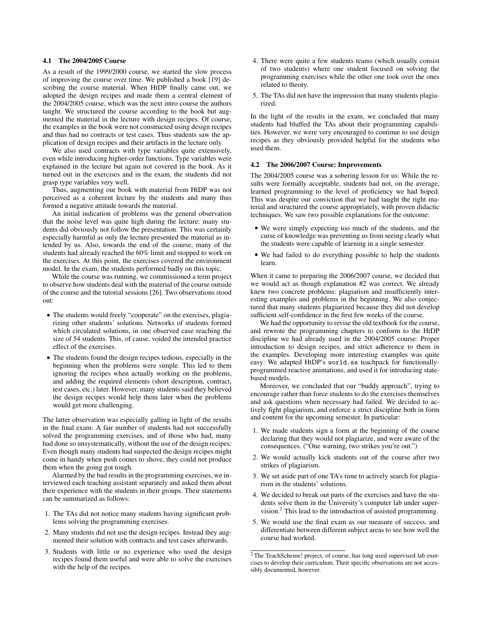# 4.1 The 2004/2005 Course

As a result of the 1999/2000 course, we started the slow process of improving the course over time. We published a book [19] describing the course material. When HtDP finally came out, we adopted the design recipes and made them a central element of the 2004/2005 course, which was the next intro course the authors taught. We structured the course according to the book but augmented the material in the lecture with design recipes. Of course, the examples in the book were not constructed using design recipes and thus had no contracts or test cases. Thus students saw the application of design recipes and their artifacts in the lecture only.

We also used contracts with type variables quite extensively, even while introducing higher-order functions. Type variables were explained in the lecture but again not covered in the book. As it turned out in the exercises and in the exam, the students did not grasp type variables very well.

Thus, augmenting our book with material from HtDP was not perceived as a coherent lecture by the students and many thus formed a negative attitude towards the material.

An initial indication of problems was the general observation that the noise level was quite high during the lecture: many students did obviously not follow the presentation. This was certainly especially harmful as only the lecture presented the material as intended by us. Also, towards the end of the course, many of the students had already reached the 60% limit and stopped to work on the exercises. At this point, the exercises covered the environment model. In the exam, the students performed badly on this topic.

While the course was running, we commissioned a term project to observe how students deal with the material of the course outside of the course and the tutorial sessions [26]. Two observations stood out:

- The students would freely "cooperate" on the exercises, plagiarizing other students' solutions. Networks of students formed which circulated solutions, in one observed case reaching the size of 54 students. This, of cause, voided the intended practice effect of the exercises.
- The students found the design recipes tedious, especially in the beginning when the problems were simple. This led to them ignoring the recipes when actually working on the problems, and adding the required elements (short description, contract, test cases, etc.) later. However, many students said they believed the design recipes would help them later when the problems would get more challenging.

The latter observation was especially galling in light of the results in the final exam: A fair number of students had not successfully solved the programming exercises, and of those who had, many had done so unsystematically, without the use of the design recipes: Even though many students had suspected the design recipes might come in handy when push comes to shove, they could not produce them when the going got tough.

Alarmed by the bad results in the programming exercises, we interviewed each teaching assistant separately and asked them about their experience with the students in their groups. Their statements can be summarized as follows:

- 1. The TAs did not notice many students having significant problems solving the programming exercises.
- 2. Many students did not use the design recipes. Instead they augmented their solution with contracts and test cases afterwards.
- 3. Students with little or no experience who used the design recipes found them useful and were able to solve the exercises with the help of the recipes.
- 4. There were quite a few students teams (which usually consist of two students) where one student focused on solving the programming exercises while the other one took over the ones related to theory.
- 5. The TAs did not have the impression that many students plagiarized.

In the light of the results in the exam, we concluded that many students had bluffed the TAs about their programming capabilities. However, we were very encouraged to continue to use design recipes as they obviously provided helpful for the students who used them.

### 4.2 The 2006/2007 Course: Improvements

The 2004/2005 course was a sobering lesson for us: While the results were formally acceptable, students had not, on the average, learned programming to the level of proficiency we had hoped. This was despite our conviction that we had taught the right material and structured the course appropriately, with proven didactic techniques. We saw two possible explanations for the outcome:

- We were simply expecting too much of the students, and the curse of knowledge was preventing us from seeing clearly what the students were capable of learning in a single semester.
- We had failed to do everything possible to help the students learn.

When it came to preparing the 2006/2007 course, we decided that we would act as though explanation #2 was correct. We already knew two concrete problems: plagiarism and insufficiently interesting examples and problems in the beginning. We also conjectured that many students plagiarized because they did not develop sufficient self-confidence in the first few weeks of the course.

We had the opportunity to revise the old textbook for the course, and rewrote the programming chapters to conform to the HtDP discipline we had already used in the 2004/2005 course: Proper introduction to design recipes, and strict adherence to them in the examples. Developing more interesting examples was quite easy: We adapted HtDP's world.ss teachpack for functionallyprogrammed reactive animations, and used it for introducing statebased models.

Moreover, we concluded that our "buddy approach", trying to encourage rather than force students to do the exercises themselves and ask questions when necessary had failed. We decided to actively fight plagiarism, and enforce a strict discipline both in form and content for the upcoming semester. In particular:

- 1. We made students sign a form at the beginning of the course declaring that they would not plagiarize, and were aware of the consequences. ("One warning, two strikes you're out.")
- 2. We would actually kick students out of the course after two strikes of plagiarism.
- 3. We set aside part of one TA's time to actively search for plagiarism in the students' solutions.
- 4. We decided to break out parts of the exercises and have the students solve them in the University's computer lab under supervision.<sup>2</sup> This lead to the introduction of assisted programming.
- 5. We would use the final exam as our measure of success, and differentiate between different subject areas to see how well the course had worked.

<sup>&</sup>lt;sup>2</sup> The TeachScheme! project, of course, has long used supervised lab exercises to develop their curriculum. Their specific observations are not accessibly documented, however.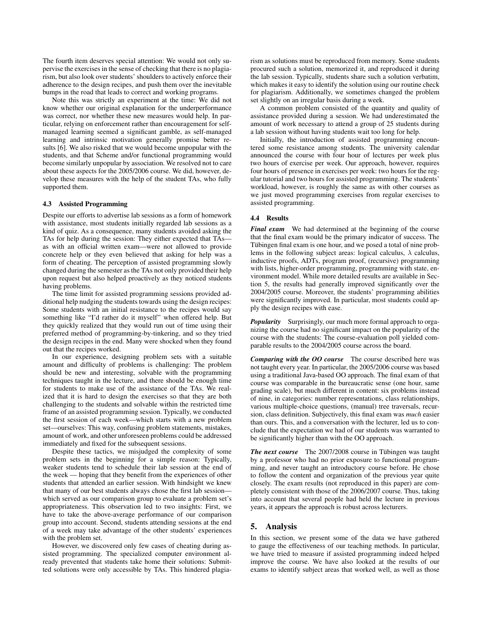The fourth item deserves special attention: We would not only supervise the exercises in the sense of checking that there is no plagiarism, but also look over students' shoulders to actively enforce their adherence to the design recipes, and push them over the inevitable bumps in the road that leads to correct and working programs.

Note this was strictly an experiment at the time: We did not know whether our original explanation for the underperformance was correct, nor whether these new measures would help. In particular, relying on enforcement rather than encouragement for selfmanaged learning seemed a significant gamble, as self-managed learning and intrinsic motivation generally promise better results [6]. We also risked that we would become unpopular with the students, and that Scheme and/or functional programming would become similarly unpopular by association. We resolved not to care about these aspects for the 2005/2006 course. We did, however, develop these measures with the help of the student TAs, who fully supported them.

#### 4.3 Assisted Programming

Despite our efforts to advertise lab sessions as a form of homework with assistance, most students initially regarded lab sessions as a kind of quiz. As a consequence, many students avoided asking the TAs for help during the session: They either expected that TAs as with an official written exam—were not allowed to provide concrete help or they even believed that asking for help was a form of cheating. The perception of assisted programming slowly changed during the semester as the TAs not only provided their help upon request but also helped proactively as they noticed students having problems.

The time limit for assisted programming sessions provided additional help nudging the students towards using the design recipes: Some students with an initial resistance to the recipes would say something like "I'd rather do it myself" when offered help. But they quickly realized that they would run out of time using their preferred method of programming-by-tinkering, and so they tried the design recipes in the end. Many were shocked when they found out that the recipes worked.

In our experience, designing problem sets with a suitable amount and difficulty of problems is challenging: The problem should be new and interesting, solvable with the programming techniques taught in the lecture, and there should be enough time for students to make use of the assistance of the TAs. We realized that it is hard to design the exercises so that they are both challenging to the students and solvable within the restricted time frame of an assisted programming session. Typically, we conducted the first session of each week—which starts with a new problem set—ourselves: This way, confusing problem statements, mistakes, amount of work, and other unforeseen problems could be addressed immediately and fixed for the subsequent sessions.

Despite these tactics, we misjudged the complexity of some problem sets in the beginning for a simple reason: Typically, weaker students tend to schedule their lab session at the end of the week — hoping that they benefit from the experiences of other students that attended an earlier session. With hindsight we knew that many of our best students always chose the first lab session which served as our comparison group to evaluate a problem set's appropriateness. This observation led to two insights: First, we have to take the above-average performance of our comparison group into account. Second, students attending sessions at the end of a week may take advantage of the other students' experiences with the problem set.

However, we discovered only few cases of cheating during assisted programming. The specialized computer environment already prevented that students take home their solutions: Submitted solutions were only accessible by TAs. This hindered plagiarism as solutions must be reproduced from memory. Some students procured such a solution, memorized it, and reproduced it during the lab session. Typically, students share such a solution verbatim, which makes it easy to identify the solution using our routine check for plagiarism. Additionally, we sometimes changed the problem set slightly on an irregular basis during a week.

A common problem consisted of the quantity and quality of assistance provided during a session. We had underestimated the amount of work necessary to attend a group of 25 students during a lab session without having students wait too long for help.

Initially, the introduction of assisted programming encountered some resistance among students. The university calendar announced the course with four hour of lectures per week plus two hours of exercise per week. Our approach, however, requires four hours of presence in exercises per week: two hours for the regular tutorial and two hours for assisted programming. The students' workload, however, is roughly the same as with other courses as we just moved programming exercises from regular exercises to assisted programming.

#### 4.4 Results

*Final exam* We had determined at the beginning of the course that the final exam would be the primary indicator of success. The Tübingen final exam is one hour, and we posed a total of nine problems in the following subject areas: logical calculus,  $\lambda$  calculus, inductive proofs, ADTs, program proof, (recursive) programming with lists, higher-order programming, programming with state, environment model. While more detailed results are available in Section 5, the results had generally improved significantly over the 2004/2005 course. Moreover, the students' programming abilities were significantly improved. In particular, most students could apply the design recipes with ease.

*Popularity* Surprisingly, our much more formal approach to organizing the course had no significant impact on the popularity of the course with the students: The course-evaluation poll yielded comparable results to the 2004/2005 course across the board.

*Comparing with the OO course* The course described here was not taught every year. In particular, the 2005/2006 course was based using a traditional Java-based OO approach. The final exam of that course was comparable in the bureaucratic sense (one hour, same grading scale), but much different in content: six problems instead of nine, in categories: number representations, class relationships, various multiple-choice questions, (manual) tree traversals, recursion, class definition. Subjectively, this final exam was *much* easier than ours. This, and a conversation with the lecturer, led us to conclude that the expectation we had of our students was warranted to be significantly higher than with the OO approach.

**The next course** The 2007/2008 course in Tübingen was taught by a professor who had no prior exposure to functional programming, and never taught an introductory course before. He chose to follow the content and organization of the previous year quite closely. The exam results (not reproduced in this paper) are completely consistent with those of the 2006/2007 course. Thus, taking into account that several people had held the lecture in previous years, it appears the approach is robust across lecturers.

# 5. Analysis

In this section, we present some of the data we have gathered to gauge the effectiveness of our teaching methods. In particular, we have tried to measure if assisted programming indeed helped improve the course. We have also looked at the results of our exams to identify subject areas that worked well, as well as those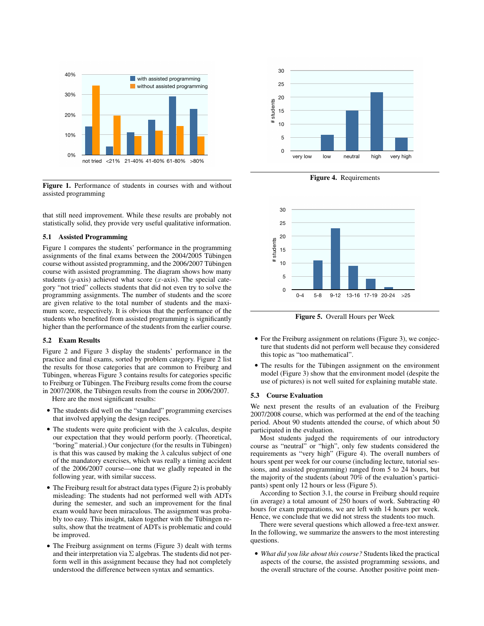

Figure 1. Performance of students in courses with and without assisted programming

that still need improvement. While these results are probably not statistically solid, they provide very useful qualitative information.

#### 5.1 Assisted Programming

Figure 1 compares the students' performance in the programming assignments of the final exams between the 2004/2005 Tübingen course without assisted programming, and the 2006/2007 Tübingen course with assisted programming. The diagram shows how many students ( $y$ -axis) achieved what score ( $x$ -axis). The special category "not tried" collects students that did not even try to solve the programming assignments. The number of students and the score are given relative to the total number of students and the maximum score, respectively. It is obvious that the performance of the students who benefited from assisted programming is significantly higher than the performance of the students from the earlier course.

#### 5.2 Exam Results

Figure 2 and Figure 3 display the students' performance in the practice and final exams, sorted by problem category. Figure 2 list the results for those categories that are common to Freiburg and Tübingen, whereas Figure 3 contains results for categories specific to Freiburg or Tübingen. The Freiburg results come from the course in 2007/2008, the Tübingen results from the course in 2006/2007.

Here are the most significant results:

- The students did well on the "standard" programming exercises that involved applying the design recipes.
- The students were quite proficient with the  $\lambda$  calculus, despite our expectation that they would perform poorly. (Theoretical, "boring" material.) Our conjecture (for the results in Tübingen) is that this was caused by making the  $\lambda$  calculus subject of one of the mandatory exercises, which was really a timing accident of the 2006/2007 course—one that we gladly repeated in the following year, with similar success.
- The Freiburg result for abstract data types (Figure 2) is probably misleading: The students had not performed well with ADTs during the semester, and such an improvement for the final exam would have been miraculous. The assignment was probably too easy. This insight, taken together with the Tübingen results, show that the treatment of ADTs is problematic and could be improved.
- The Freiburg assignment on terms (Figure 3) dealt with terms and their interpretation via  $\Sigma$  algebras. The students did not perform well in this assignment because they had not completely understood the difference between syntax and semantics.



Figure 4. Requirements



Figure 5. Overall Hours per Week

- For the Freiburg assignment on relations (Figure 3), we conjecture that students did not perform well because they considered this topic as "too mathematical".
- The results for the Tübingen assignment on the environment model (Figure 3) show that the environment model (despite the use of pictures) is not well suited for explaining mutable state.

#### 5.3 Course Evaluation

We next present the results of an evaluation of the Freiburg 2007/2008 course, which was performed at the end of the teaching period. About 90 students attended the course, of which about 50 participated in the evaluation.

Most students judged the requirements of our introductory course as "neutral" or "high", only few students considered the requirements as "very high" (Figure 4). The overall numbers of hours spent per week for our course (including lecture, tutorial sessions, and assisted programming) ranged from 5 to 24 hours, but the majority of the students (about 70% of the evaluation's participants) spent only 12 hours or less (Figure 5).

According to Section 3.1, the course in Freiburg should require (in average) a total amount of 250 hours of work. Subtracting 40 hours for exam preparations, we are left with 14 hours per week. Hence, we conclude that we did not stress the students too much.

There were several questions which allowed a free-text answer. In the following, we summarize the answers to the most interesting questions.

• *What did you like about this course?* Students liked the practical aspects of the course, the assisted programming sessions, and the overall structure of the course. Another positive point men-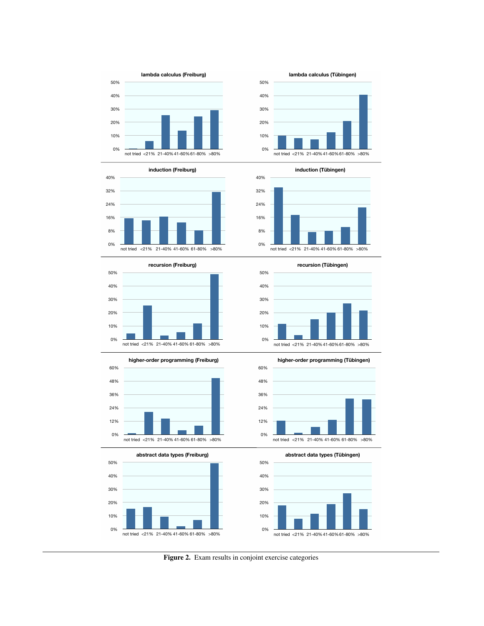



















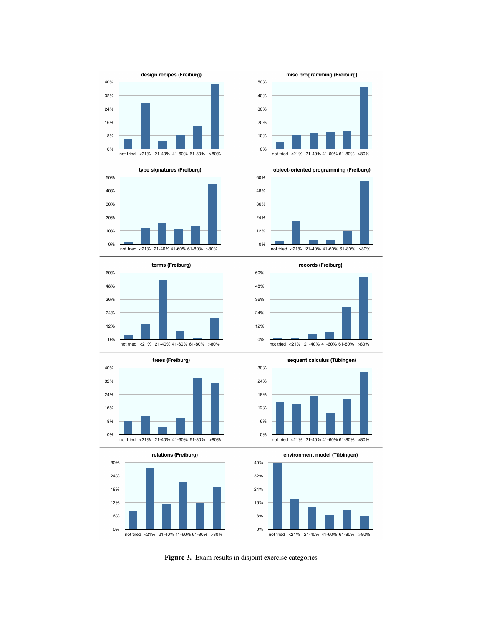



















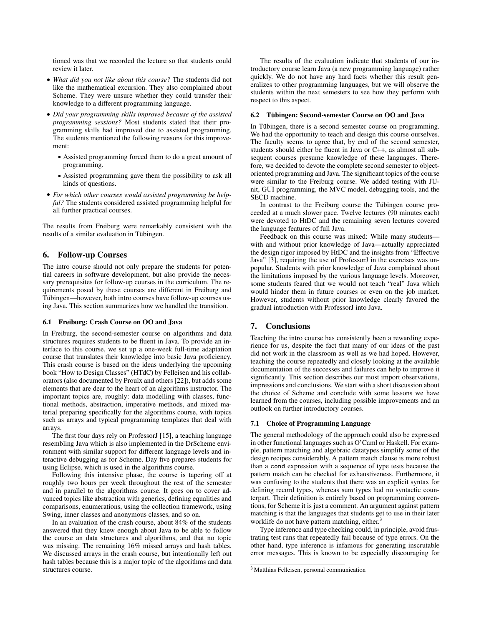tioned was that we recorded the lecture so that students could review it later.

- *What did you not like about this course?* The students did not like the mathematical excursion. They also complained about Scheme. They were unsure whether they could transfer their knowledge to a different programming language.
- *Did your programming skills improved because of the assisted programming sessions?* Most students stated that their programming skills had improved due to assisted programming. The students mentioned the following reasons for this improvement:
	- Assisted programming forced them to do a great amount of programming.
	- Assisted programming gave them the possibility to ask all kinds of questions.
- *For which other courses would assisted programming be helpful?* The students considered assisted programming helpful for all further practical courses.

The results from Freiburg were remarkably consistent with the results of a similar evaluation in Tübingen.

# 6. Follow-up Courses

The intro course should not only prepare the students for potential careers in software development, but also provide the necessary prerequisites for follow-up courses in the curriculum. The requirements posed by these courses are different in Freiburg and Tübingen—however, both intro courses have follow-up courses using Java. This section summarizes how we handled the transition.

#### 6.1 Freiburg: Crash Course on OO and Java

In Freiburg, the second-semester course on algorithms and data structures requires students to be fluent in Java. To provide an interface to this course, we set up a one-week full-time adaptation course that translates their knowledge into basic Java proficiency. This crash course is based on the ideas underlying the upcoming book "How to Design Classes" (HTdC) by Felleisen and his collaborators (also documented by Proulx and others [22]), but adds some elements that are dear to the heart of an algorithms instructor. The important topics are, roughly: data modelling with classes, functional methods, abstraction, imperative methods, and mixed material preparing specifically for the algorithms course, with topics such as arrays and typical programming templates that deal with arrays.

The first four days rely on ProfessorJ [15], a teaching language resembling Java which is also implemented in the DrScheme environment with similar support for different language levels and interactive debugging as for Scheme. Day five prepares students for using Eclipse, which is used in the algorithms course.

Following this intensive phase, the course is tapering off at roughly two hours per week throughout the rest of the semester and in parallel to the algorithms course. It goes on to cover advanced topics like abstraction with generics, defining equalities and comparisons, enumerations, using the collection framework, using Swing, inner classes and anonymous classes, and so on.

In an evaluation of the crash course, about 84% of the students answered that they knew enough about Java to be able to follow the course an data structures and algorithms, and that no topic was missing. The remaining 16% missed arrays and hash tables. We discussed arrays in the crash course, but intentionally left out hash tables because this is a major topic of the algorithms and data structures course.

The results of the evaluation indicate that students of our introductory course learn Java (a new programming language) rather quickly. We do not have any hard facts whether this result generalizes to other programming languages, but we will observe the students within the next semesters to see how they perform with respect to this aspect.

#### 6.2 Tübingen: Second-semester Course on OO and Java

In Tübingen, there is a second semester course on programming. We had the opportunity to teach and design this course ourselves. The faculty seems to agree that, by end of the second semester, students should either be fluent in Java or C++, as almost all subsequent courses presume knowledge of these languages. Therefore, we decided to devote the complete second semester to objectoriented programming and Java. The significant topics of the course were similar to the Freiburg course. We added testing with JUnit, GUI programming, the MVC model, debugging tools, and the SECD machine.

In contrast to the Freiburg course the Tübingen course proceeded at a much slower pace. Twelve lectures (90 minutes each) were devoted to HtDC and the remaining seven lectures covered the language features of full Java.

Feedback on this course was mixed: While many students with and without prior knowledge of Java—actually appreciated the design rigor imposed by HtDC and the insights from "Effective Java" [3], requiring the use of ProfessorJ in the exercises was unpopular. Students with prior knowledge of Java complained about the limitations imposed by the various language levels. Moreover, some students feared that we would not teach "real" Java which would hinder them in future courses or even on the job market. However, students without prior knowledge clearly favored the gradual introduction with ProfessorJ into Java.

# 7. Conclusions

Teaching the intro course has consistently been a rewarding experience for us, despite the fact that many of our ideas of the past did not work in the classroom as well as we had hoped. However, teaching the course repeatedly and closely looking at the available documentation of the successes and failures can help to improve it significantly. This section describes our most import observations, impressions and conclusions. We start with a short discussion about the choice of Scheme and conclude with some lessons we have learned from the courses, including possible improvements and an outlook on further introductory courses.

# 7.1 Choice of Programming Language

The general methodology of the approach could also be expressed in other functional languages such as O'Caml or Haskell. For example, pattern matching and algebraic datatypes simplify some of the design recipes considerably. A pattern match clause is more robust than a cond expression with a sequence of type tests because the pattern match can be checked for exhaustiveness. Furthermore, it was confusing to the students that there was an explicit syntax for defining record types, whereas sum types had no syntactic counterpart. Their definition is entirely based on programming conventions, for Scheme it is just a comment. An argument against pattern matching is that the languages that students get to use in their later worklife do not have pattern matching, either.<sup>3</sup>

Type inference and type checking could, in principle, avoid frustrating test runs that repeatedly fail because of type errors. On the other hand, type inference is infamous for generating inscrutable error messages. This is known to be especially discouraging for

<sup>3</sup> Matthias Felleisen, personal communication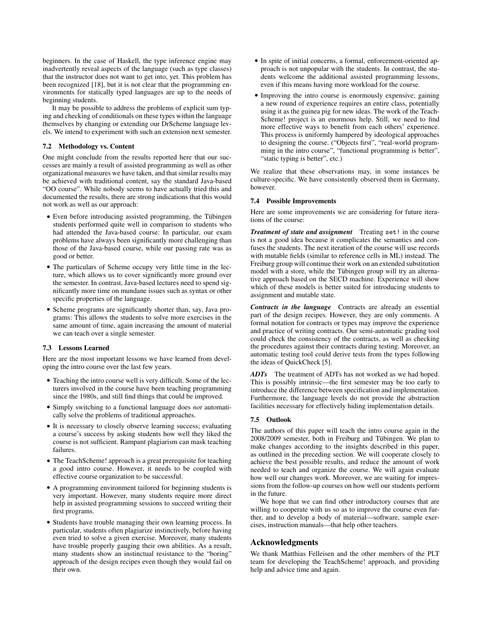beginners. In the case of Haskell, the type inference engine may inadvertently reveal aspects of the language (such as type classes) that the instructor does not want to get into, yet. This problem has been recognized [18], but it is not clear that the programming environments for statically typed languages are up to the needs of beginning students.

It may be possible to address the problems of explicit sum typing and checking of conditionals on these types within the language themselves by changing or extending our DrScheme language levels. We intend to experiment with such an extension next semester.

# 7.2 Methodology vs. Content

One might conclude from the results reported here that our successes are mainly a result of assisted programming as well as other organizational measures we have taken, and that similar results may be achieved with traditional content, say the standard Java-based "OO course". While nobody seems to have actually tried this and documented the results, there are strong indications that this would not work as well as our approach:

- Even before introducing assisted programming, the Tübingen students performed quite well in comparison to students who had attended the Java-based course: In particular, our exam problems have always been significantly more challenging than those of the Java-based course, while our passing rate was as good or better.
- The particulars of Scheme occupy very little time in the lecture, which allows us to cover significantly more ground over the semester. In contrast, Java-based lectures need to spend significantly more time on mundane issues such as syntax or other specific properties of the language.
- Scheme programs are significantly shorter than, say, Java programs: This allows the students to solve more exercises in the same amount of time, again increasing the amount of material we can teach over a single semester.

#### 7.3 Lessons Learned

Here are the most important lessons we have learned from developing the intro course over the last few years.

- Teaching the intro course well is very difficult. Some of the lecturers involved in the course have been teaching programming since the 1980s, and still find things that could be improved.
- Simply switching to a functional language does *not* automatically solve the problems of traditional approaches.
- It is necessary to closely observe learning success; evaluating a course's success by asking students how well they liked the course is not sufficient. Rampant plagiarism can mask teaching failures.
- The TeachScheme! approach is a great prerequisite for teaching a good intro course. However, it needs to be coupled with effective course organization to be successful.
- A programming environment tailored for beginning students is very important. However, many students require more direct help in assisted programming sessions to succeed writing their first programs.
- Students have trouble managing their own learning process. In particular, students often plagiarize instinctively, before having even tried to solve a given exercise. Moreover, many students have trouble properly gauging their own abilities. As a result, many students show an instinctual resistance to the "boring" approach of the design recipes even though they would fail on their own.
- In spite of initial concerns, a formal, enforcement-oriented approach is not unpopular with the students. In contrast, the students welcome the additional assisted programming lessons, even if this means having more workload for the course.
- Improving the intro course is enormously expensive; gaining a new round of experience requires an entire class, potentially using it as the guinea pig for new ideas. The work of the Teach-Scheme! project is an enormous help. Still, we need to find more effective ways to benefit from each others' experience. This process is uniformly hampered by ideological approaches to designing the course. ("Objects first", "real-world programming in the intro course", "functional programming is better", "static typing is better", etc.)

We realize that these observations may, in some instances be culture-specific. We have consistently observed them in Germany, however.

#### 7.4 Possible Improvements

Here are some improvements we are considering for future iterations of the course:

*Treatment of state and assignment* Treating set! in the course is not a good idea because it complicates the semantics and confuses the students. The next iteration of the course will use records with mutable fields (similar to reference cells in ML) instead. The Freiburg group will continue their work on an extended substitution model with a store, while the Tübingen group will try an alternative approach based on the SECD machine. Experience will show which of these models is better suited for introducing students to assignment and mutable state.

*Contracts in the language* Contracts are already an essential part of the design recipes. However, they are only comments. A formal notation for contracts or types may improve the experience and practice of writing contracts. Our semi-automatic grading tool could check the consistency of the contracts, as well as checking the procedures against their contracts during testing. Moreover, an automatic testing tool could derive tests from the types following the ideas of QuickCheck [5].

*ADTs* The treatment of ADTs has not worked as we had hoped. This is possibly intrinsic—the first semester may be too early to introduce the difference between specification and implementation. Furthermore, the language levels do not provide the abstraction facilities necessary for effectively hiding implementation details.

#### 7.5 Outlook

The authors of this paper will teach the intro course again in the 2008/2009 semester, both in Freiburg and Tübingen. We plan to make changes according to the insights described in this paper, as outlined in the preceding section. We will cooperate closely to achieve the best possible results, and reduce the amount of work needed to teach and organize the course. We will again evaluate how well our changes work. Moreover, we are waiting for impressions from the follow-up courses on how well our students perform in the future.

We hope that we can find other introductory courses that are willing to cooperate with us so as to improve the course even further, and to develop a body of material—software, sample exercises, instruction manuals—that help other teachers.

# Acknowledgments

We thank Matthias Felleisen and the other members of the PLT team for developing the TeachScheme! approach, and providing help and advice time and again.